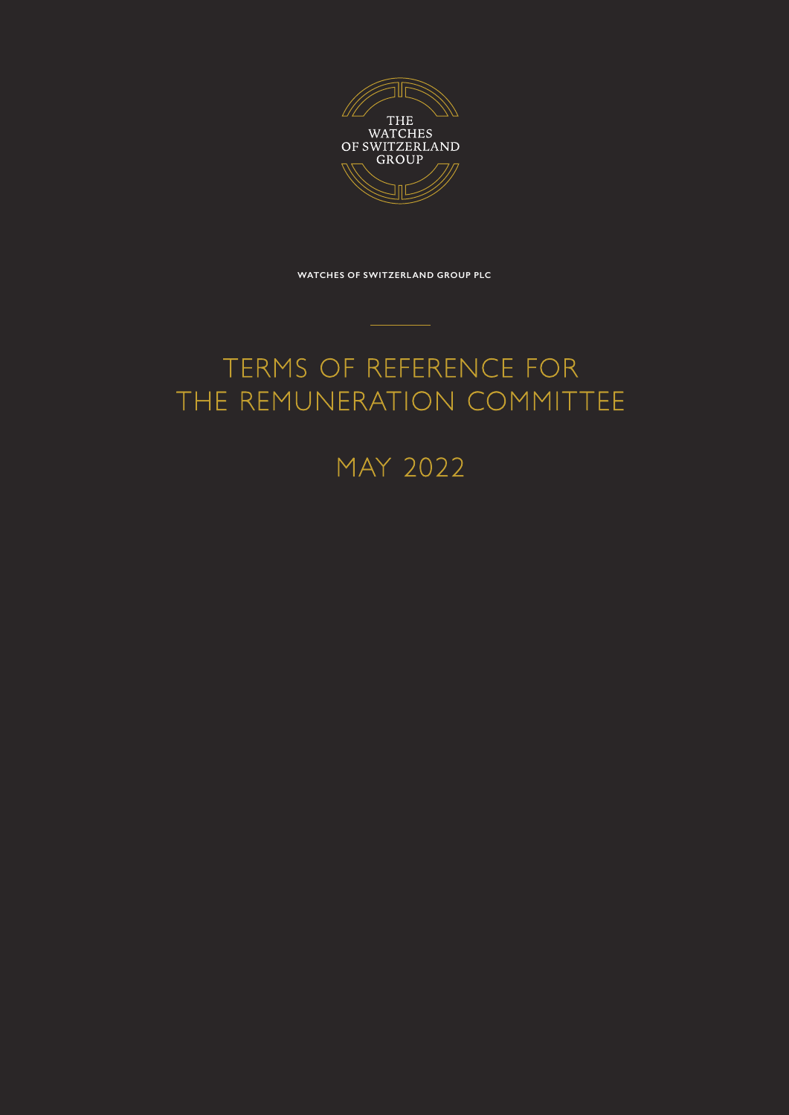

**WATCHES OF SWITZERLAND GROUP PLC**

## TERMS OF REFERENCE FOR THE REMUNERATION COMMITTEE

## MAY 2022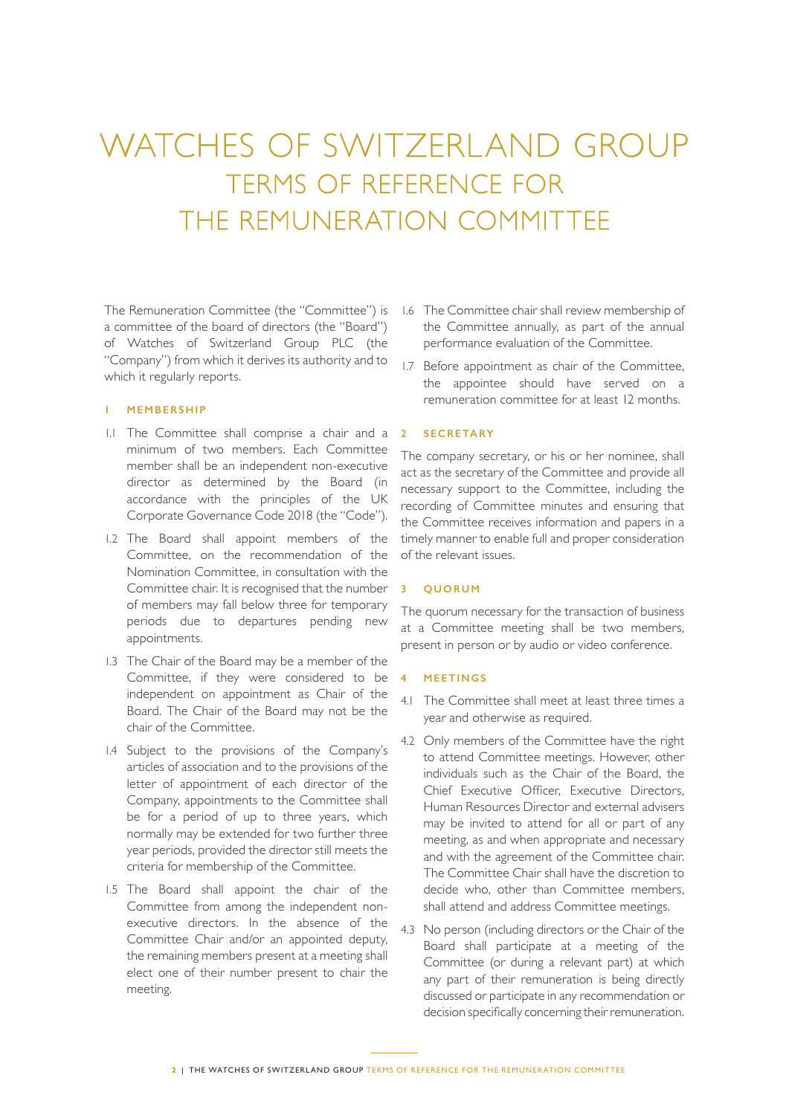# WATCHES OF SWITZERLAND GROUP TERMS OF REFERENCE FOR THE REMUNERATION COMMITTEE

The Remuneration Committee (the "Committee") is a committee of the board of directors (the "Board") of Watches of Switzerland Group PLC (the "Company") from which it derives its authority and to which it regularly reports.

#### **1 MEMBERSHIP**

- 1.1 The Committee shall comprise a chair and a minimum of two members. Each Committee member shall be an independent non-executive director as determined by the Board (in accordance with the principles of the UK Corporate Governance Code 2018 (the "Code").
- 1.2 The Board shall appoint members of the Committee, on the recommendation of the Nomination Committee, in consultation with the Committee chair. It is recognised that the number of members may fall below three for temporary periods due to departures pending new appointments.
- 1.3 The Chair of the Board may be a member of the Committee, if they were considered to be independent on appointment as Chair of the Board. The Chair of the Board may not be the chair of the Committee.
- 1.4 Subject to the provisions of the Company's articles of association and to the provisions of the letter of appointment of each director of the Company, appointments to the Committee shall be for a period of up to three years, which normally may be extended for two further three year periods, provided the director still meets the criteria for membership of the Committee.
- 1.5 The Board shall appoint the chair of the Committee from among the independent nonexecutive directors. In the absence of the Committee Chair and/or an appointed deputy, the remaining members present at a meeting shall elect one of their number present to chair the meeting.
- 1.6 The Committee chair shall review membership of the Committee annually, as part of the annual performance evaluation of the Committee.
- 1.7 Before appointment as chair of the Committee, the appointee should have served on a remuneration committee for at least 12 months.

## **2 SECRETARY**

The company secretary, or his or her nominee, shall act as the secretary of the Committee and provide all necessary support to the Committee, including the recording of Committee minutes and ensuring that the Committee receives information and papers in a timely manner to enable full and proper consideration of the relevant issues.

## **3 QUORUM**

The quorum necessary for the transaction of business at a Committee meeting shall be two members, present in person or by audio or video conference.

## **4 MEETINGS**

- 4.1 The Committee shall meet at least three times a year and otherwise as required.
- 4.2 Only members of the Committee have the right to attend Committee meetings. However, other individuals such as the Chair of the Board, the Chief Executive Officer, Executive Directors, Human Resources Director and external advisers may be invited to attend for all or part of any meeting, as and when appropriate and necessary and with the agreement of the Committee chair. The Committee Chair shall have the discretion to decide who, other than Committee members, shall attend and address Committee meetings.
- 4.3 No person (including directors or the Chair of the Board shall participate at a meeting of the Committee (or during a relevant part) at which any part of their remuneration is being directly discussed or participate in any recommendation or decision specifically concerning their remuneration.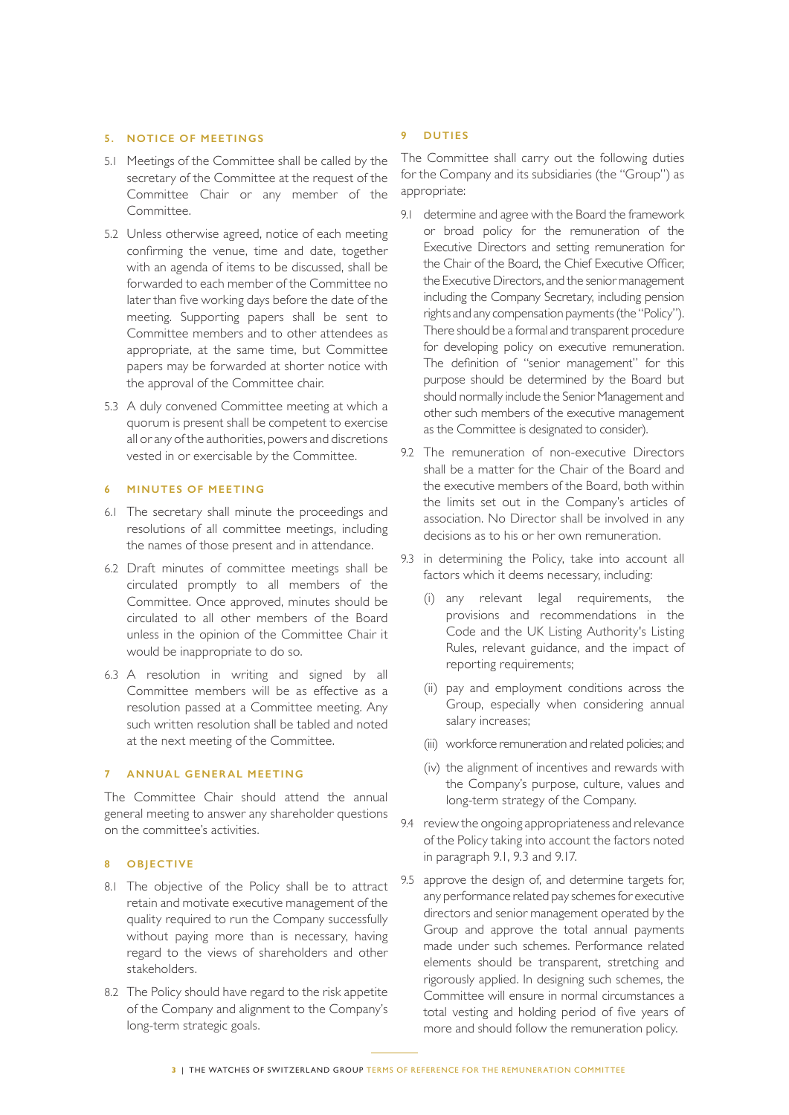#### **5. NOTICE OF MEETINGS**

- 5.1 Meetings of the Committee shall be called by the secretary of the Committee at the request of the Committee Chair or any member of the Committee.
- 5.2 Unless otherwise agreed, notice of each meeting confirming the venue, time and date, together with an agenda of items to be discussed, shall be forwarded to each member of the Committee no later than five working days before the date of the meeting. Supporting papers shall be sent to Committee members and to other attendees as appropriate, at the same time, but Committee papers may be forwarded at shorter notice with the approval of the Committee chair.
- 5.3 A duly convened Committee meeting at which a quorum is present shall be competent to exercise all or any of the authorities, powers and discretions vested in or exercisable by the Committee.

## **6 MINUTES OF MEETING**

- 6.1 The secretary shall minute the proceedings and resolutions of all committee meetings, including the names of those present and in attendance.
- 6.2 Draft minutes of committee meetings shall be circulated promptly to all members of the Committee. Once approved, minutes should be circulated to all other members of the Board unless in the opinion of the Committee Chair it would be inappropriate to do so.
- 6.3 A resolution in writing and signed by all Committee members will be as effective as a resolution passed at a Committee meeting. Any such written resolution shall be tabled and noted at the next meeting of the Committee.

#### **7 ANNUAL GENERAL MEETING**

The Committee Chair should attend the annual general meeting to answer any shareholder questions on the committee's activities.

#### **8 OBJECTIVE**

- 8.1 The objective of the Policy shall be to attract retain and motivate executive management of the quality required to run the Company successfully without paying more than is necessary, having regard to the views of shareholders and other stakeholders.
- 8.2 The Policy should have regard to the risk appetite of the Company and alignment to the Company's long-term strategic goals.

#### **9 DUTIES**

The Committee shall carry out the following duties for the Company and its subsidiaries (the "Group") as appropriate:

- 9.1 determine and agree with the Board the framework or broad policy for the remuneration of the Executive Directors and setting remuneration for the Chair of the Board, the Chief Executive Officer, the Executive Directors, and the senior management including the Company Secretary, including pension rights and any compensation payments (the "Policy"). There should be a formal and transparent procedure for developing policy on executive remuneration. The definition of "senior management" for this purpose should be determined by the Board but should normally include the Senior Management and other such members of the executive management as the Committee is designated to consider).
- 9.2 The remuneration of non-executive Directors shall be a matter for the Chair of the Board and the executive members of the Board, both within the limits set out in the Company's articles of association. No Director shall be involved in any decisions as to his or her own remuneration.
- 9.3 in determining the Policy, take into account all factors which it deems necessary, including:
	- (i) any relevant legal requirements, the provisions and recommendations in the Code and the UK Listing Authority's Listing Rules, relevant guidance, and the impact of reporting requirements;
	- (ii) pay and employment conditions across the Group, especially when considering annual salary increases;
	- (iii) workforce remuneration and related policies; and
	- (iv) the alignment of incentives and rewards with the Company's purpose, culture, values and long-term strategy of the Company.
- 9.4 review the ongoing appropriateness and relevance of the Policy taking into account the factors noted in paragraph 9.1, 9.3 and 9.17.
- 9.5 approve the design of, and determine targets for, any performance related pay schemes for executive directors and senior management operated by the Group and approve the total annual payments made under such schemes. Performance related elements should be transparent, stretching and rigorously applied. In designing such schemes, the Committee will ensure in normal circumstances a total vesting and holding period of five years of more and should follow the remuneration policy.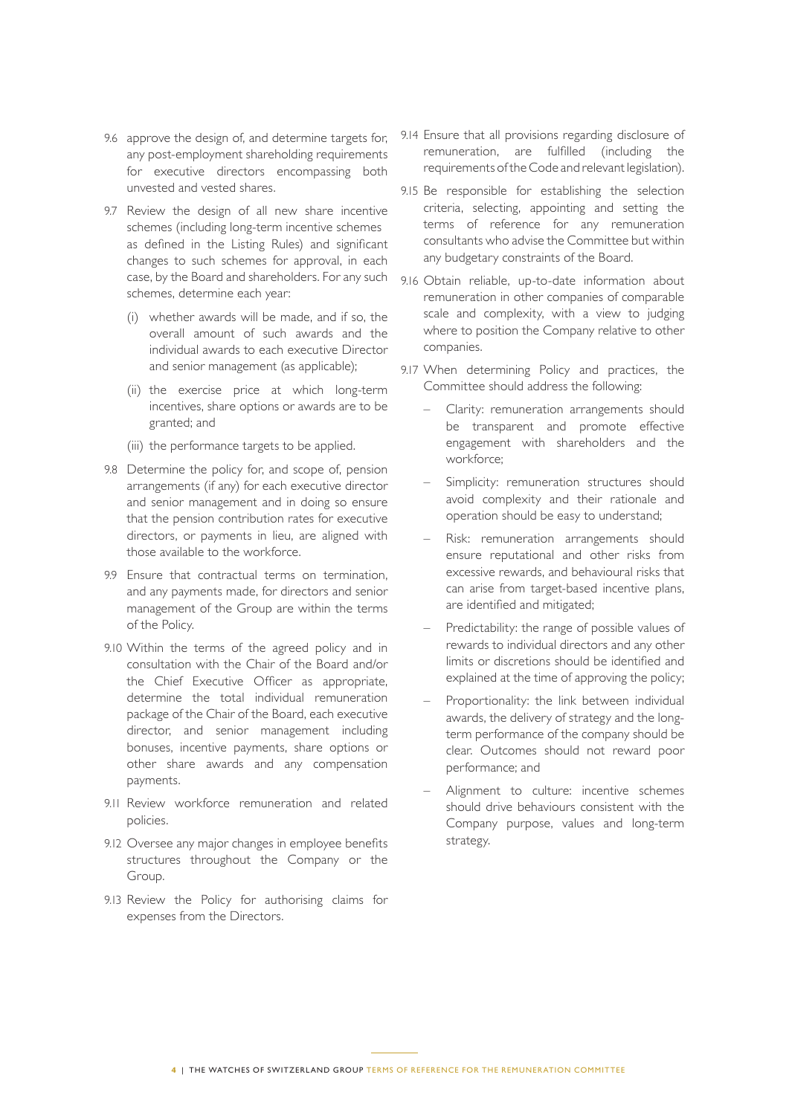- 9.6 approve the design of, and determine targets for, any post-employment shareholding requirements for executive directors encompassing both unvested and vested shares.
- 9.7 Review the design of all new share incentive schemes (including long-term incentive schemes as defined in the Listing Rules) and significant changes to such schemes for approval, in each case, by the Board and shareholders. For any such schemes, determine each year:
	- (i) whether awards will be made, and if so, the overall amount of such awards and the individual awards to each executive Director and senior management (as applicable);
	- (ii) the exercise price at which long-term incentives, share options or awards are to be granted; and
	- (iii) the performance targets to be applied.
- 9.8 Determine the policy for, and scope of, pension arrangements (if any) for each executive director and senior management and in doing so ensure that the pension contribution rates for executive directors, or payments in lieu, are aligned with those available to the workforce.
- 9.9 Ensure that contractual terms on termination, and any payments made, for directors and senior management of the Group are within the terms of the Policy.
- 9.10 Within the terms of the agreed policy and in consultation with the Chair of the Board and/or the Chief Executive Officer as appropriate, determine the total individual remuneration package of the Chair of the Board, each executive director, and senior management including bonuses, incentive payments, share options or other share awards and any compensation payments.
- 9.11 Review workforce remuneration and related policies.
- 9.12 Oversee any major changes in employee benefits structures throughout the Company or the Group.
- 9.13 Review the Policy for authorising claims for expenses from the Directors.
- 9.14 Ensure that all provisions regarding disclosure of remuneration, are fulfilled (including the requirements of the Code and relevant legislation).
- 9.15 Be responsible for establishing the selection criteria, selecting, appointing and setting the terms of reference for any remuneration consultants who advise the Committee but within any budgetary constraints of the Board.
- 9.16 Obtain reliable, up-to-date information about remuneration in other companies of comparable scale and complexity, with a view to judging where to position the Company relative to other companies.
- 9.17 When determining Policy and practices, the Committee should address the following:
	- Clarity: remuneration arrangements should be transparent and promote effective engagement with shareholders and the workforce;
	- Simplicity: remuneration structures should avoid complexity and their rationale and operation should be easy to understand;
	- Risk: remuneration arrangements should ensure reputational and other risks from excessive rewards, and behavioural risks that can arise from target-based incentive plans, are identified and mitigated;
	- Predictability: the range of possible values of rewards to individual directors and any other limits or discretions should be identified and explained at the time of approving the policy;
	- Proportionality: the link between individual awards, the delivery of strategy and the longterm performance of the company should be clear. Outcomes should not reward poor performance; and
	- Alignment to culture: incentive schemes should drive behaviours consistent with the Company purpose, values and long-term strategy.